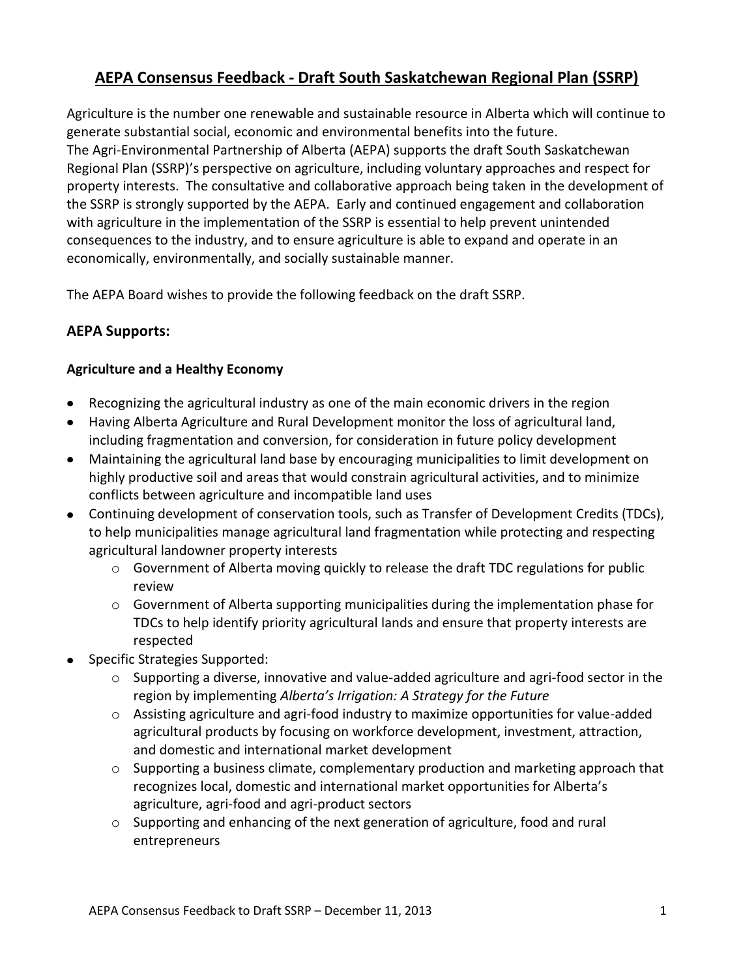# **AEPA Consensus Feedback - Draft South Saskatchewan Regional Plan (SSRP)**

Agriculture is the number one renewable and sustainable resource in Alberta which will continue to generate substantial social, economic and environmental benefits into the future. The Agri-Environmental Partnership of Alberta (AEPA) supports the draft South Saskatchewan Regional Plan (SSRP)'s perspective on agriculture, including voluntary approaches and respect for property interests. The consultative and collaborative approach being taken in the development of the SSRP is strongly supported by the AEPA. Early and continued engagement and collaboration with agriculture in the implementation of the SSRP is essential to help prevent unintended consequences to the industry, and to ensure agriculture is able to expand and operate in an economically, environmentally, and socially sustainable manner.

The AEPA Board wishes to provide the following feedback on the draft SSRP.

# **AEPA Supports:**

# **Agriculture and a Healthy Economy**

- Recognizing the agricultural industry as one of the main economic drivers in the region
- Having Alberta Agriculture and Rural Development monitor the loss of agricultural land, including fragmentation and conversion, for consideration in future policy development
- Maintaining the agricultural land base by encouraging municipalities to limit development on highly productive soil and areas that would constrain agricultural activities, and to minimize conflicts between agriculture and incompatible land uses
- Continuing development of conservation tools, such as Transfer of Development Credits (TDCs), to help municipalities manage agricultural land fragmentation while protecting and respecting agricultural landowner property interests
	- $\circ$  Government of Alberta moving quickly to release the draft TDC regulations for public review
	- $\circ$  Government of Alberta supporting municipalities during the implementation phase for TDCs to help identify priority agricultural lands and ensure that property interests are respected
- Specific Strategies Supported:
	- $\circ$  Supporting a diverse, innovative and value-added agriculture and agri-food sector in the region by implementing *Alberta's Irrigation: A Strategy for the Future*
	- $\circ$  Assisting agriculture and agri-food industry to maximize opportunities for value-added agricultural products by focusing on workforce development, investment, attraction, and domestic and international market development
	- $\circ$  Supporting a business climate, complementary production and marketing approach that recognizes local, domestic and international market opportunities for Alberta's agriculture, agri-food and agri-product sectors
	- o Supporting and enhancing of the next generation of agriculture, food and rural entrepreneurs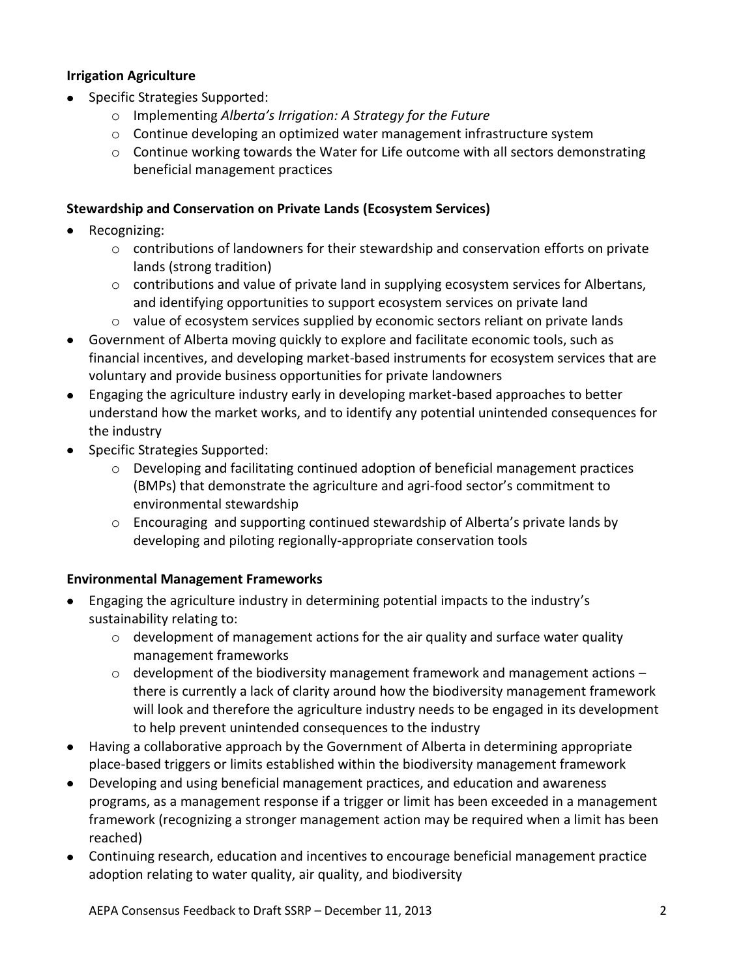### **Irrigation Agriculture**

- Specific Strategies Supported:
	- o Implementing *Alberta's Irrigation: A Strategy for the Future*
	- $\circ$  Continue developing an optimized water management infrastructure system
	- $\circ$  Continue working towards the Water for Life outcome with all sectors demonstrating beneficial management practices

#### **Stewardship and Conservation on Private Lands (Ecosystem Services)**

- Recognizing:
	- $\circ$  contributions of landowners for their stewardship and conservation efforts on private lands (strong tradition)
	- o contributions and value of private land in supplying ecosystem services for Albertans, and identifying opportunities to support ecosystem services on private land
	- $\circ$  value of ecosystem services supplied by economic sectors reliant on private lands
- Government of Alberta moving quickly to explore and facilitate economic tools, such as financial incentives, and developing market-based instruments for ecosystem services that are voluntary and provide business opportunities for private landowners
- Engaging the agriculture industry early in developing market-based approaches to better understand how the market works, and to identify any potential unintended consequences for the industry
- Specific Strategies Supported:
	- o Developing and facilitating continued adoption of beneficial management practices (BMPs) that demonstrate the agriculture and agri-food sector's commitment to environmental stewardship
	- o Encouraging and supporting continued stewardship of Alberta's private lands by developing and piloting regionally-appropriate conservation tools

# **Environmental Management Frameworks**

- Engaging the agriculture industry in determining potential impacts to the industry's sustainability relating to:
	- $\circ$  development of management actions for the air quality and surface water quality management frameworks
	- $\circ$  development of the biodiversity management framework and management actions there is currently a lack of clarity around how the biodiversity management framework will look and therefore the agriculture industry needs to be engaged in its development to help prevent unintended consequences to the industry
- Having a collaborative approach by the Government of Alberta in determining appropriate place-based triggers or limits established within the biodiversity management framework
- Developing and using beneficial management practices, and education and awareness programs, as a management response if a trigger or limit has been exceeded in a management framework (recognizing a stronger management action may be required when a limit has been reached)
- Continuing research, education and incentives to encourage beneficial management practice adoption relating to water quality, air quality, and biodiversity

AEPA Consensus Feedback to Draft SSRP – December 11, 2013 2